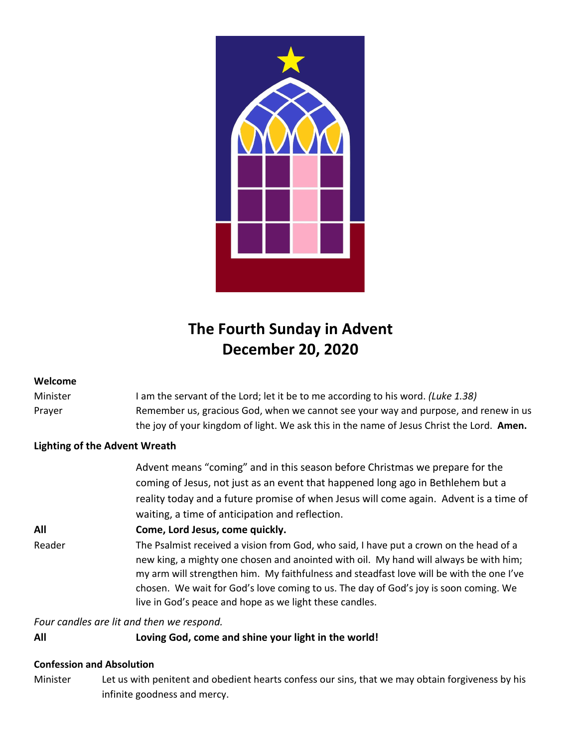

# **The Fourth Sunday in Advent December 20, 2020**

# **Welcome**

Minister I am the servant of the Lord; let it be to me according to his word. *(Luke 1.38)* Prayer Remember us, gracious God, when we cannot see your way and purpose, and renew in us the joy of your kingdom of light. We ask this in the name of Jesus Christ the Lord. **Amen.**

# **Lighting of the Advent Wreath**

|        | Advent means "coming" and in this season before Christmas we prepare for the<br>coming of Jesus, not just as an event that happened long ago in Bethlehem but a<br>reality today and a future promise of when Jesus will come again. Advent is a time of<br>waiting, a time of anticipation and reflection.                                                                                                                    |
|--------|--------------------------------------------------------------------------------------------------------------------------------------------------------------------------------------------------------------------------------------------------------------------------------------------------------------------------------------------------------------------------------------------------------------------------------|
| All    | Come, Lord Jesus, come quickly.                                                                                                                                                                                                                                                                                                                                                                                                |
| Reader | The Psalmist received a vision from God, who said, I have put a crown on the head of a<br>new king, a mighty one chosen and anointed with oil. My hand will always be with him;<br>my arm will strengthen him. My faithfulness and steadfast love will be with the one I've<br>chosen. We wait for God's love coming to us. The day of God's joy is soon coming. We<br>live in God's peace and hope as we light these candles. |
|        |                                                                                                                                                                                                                                                                                                                                                                                                                                |

*Four candles are lit and then we respond.*

# **All Loving God, come and shine your light in the world!**

# **Confession and Absolution**

Minister Let us with penitent and obedient hearts confess our sins, that we may obtain forgiveness by his infinite goodness and mercy.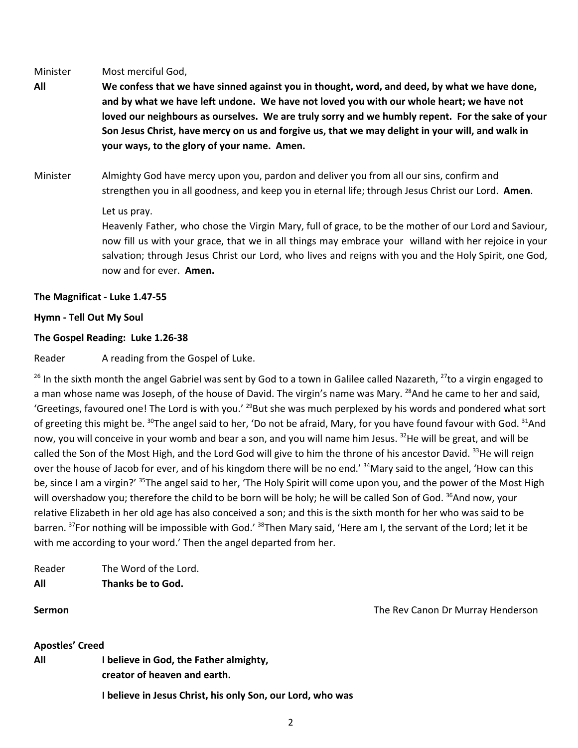Minister Most merciful God,

- All We confess that we have sinned against you in thought, word, and deed, by what we have done, **and by what we have left undone. We have not loved you with our whole heart; we have not loved our neighbours as ourselves. We are truly sorry and we humbly repent. For the sake of your** Son Jesus Christ, have mercy on us and forgive us, that we may delight in your will, and walk in **your ways, to the glory of your name. Amen.**
- Minister Almighty God have mercy upon you, pardon and deliver you from all our sins, confirm and strengthen you in all goodness, and keep you in eternal life; through Jesus Christ our Lord. **Amen**.

### Let us pray.

Heavenly Father, who chose the Virgin Mary, full of grace, to be the mother of our Lord and Saviour, now fill us with your grace, that we in all things may embrace your willand with her rejoice in your salvation; through Jesus Christ our Lord, who lives and reigns with you and the Holy Spirit, one God, now and for ever. **Amen.**

# **The Magnificat - Luke 1.47-55**

# **Hymn - Tell Out My Soul**

# **The Gospel Reading: Luke 1.26-38**

Reader A reading from the Gospel of Luke.

<sup>26</sup> In the sixth month the angel Gabriel was sent by God to a town in Galilee called Nazareth, <sup>27</sup>to a virgin engaged to a man whose name was Joseph, of the house of David. The virgin's name was Mary. <sup>28</sup>And he came to her and said, 'Greetings, favoured one! The Lord is with you.' <sup>29</sup>But she was much perplexed by his words and pondered what sort of greeting this might be. <sup>30</sup>The angel said to her, 'Do not be afraid, Mary, for you have found favour with God. <sup>31</sup>And now, you will conceive in your womb and bear a son, and you will name him Jesus. <sup>32</sup>He will be great, and will be called the Son of the Most High, and the Lord God will give to him the throne of his ancestor David. <sup>33</sup>He will reign over the house of Jacob for ever, and of his kingdom there will be no end.' <sup>34</sup>Mary said to the angel, 'How can this be, since I am a virgin?' <sup>35</sup>The angel said to her, 'The Holy Spirit will come upon you, and the power of the Most High will overshadow you; therefore the child to be born will be holy; he will be called Son of God. <sup>36</sup>And now, your relative Elizabeth in her old age has also conceived a son; and this is the sixth month for her who was said to be barren. <sup>37</sup>For nothing will be impossible with God.' <sup>38</sup>Then Mary said, 'Here am I, the servant of the Lord; let it be with me according to your word.' Then the angel departed from her.

Reader The Word of the Lord. **All Thanks be to God.**

**Sermon** The Rev Canon Dr Murray Henderson

### **Apostles' Creed**

**All I believe in God, the Father almighty, creator of heaven and earth.**

**I believe in Jesus Christ, his only Son, our Lord, who was**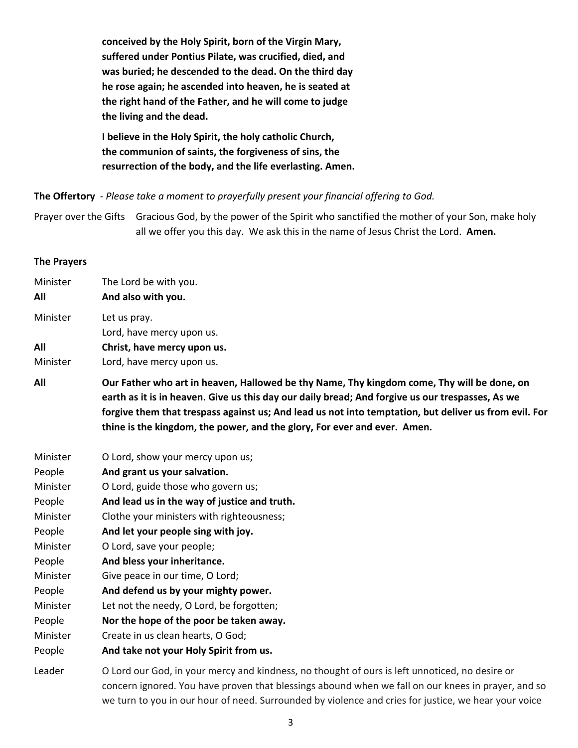**conceived by the Holy Spirit, born of the Virgin Mary, suffered under Pontius Pilate, was crucified, died, and was buried; he descended to the dead. On the third day he rose again; he ascended into heaven, he is seated at the right hand of the Father, and he will come to judge the living and the dead.**

**I believe in the Holy Spirit, the holy catholic Church, the communion of saints, the forgiveness of sins, the resurrection of the body, and the life everlasting. Amen.**

**The Offertory** - *Please take a moment to prayerfully present your financial offering to God.*

Prayer over the Gifts Gracious God, by the power of the Spirit who sanctified the mother of your Son, make holy all we offer you this day. We ask this in the name of Jesus Christ the Lord. **Amen.**

#### **The Prayers**

| Minister | The Lord be with you.                                                                                                                                                                                                                                                                                                                                                               |
|----------|-------------------------------------------------------------------------------------------------------------------------------------------------------------------------------------------------------------------------------------------------------------------------------------------------------------------------------------------------------------------------------------|
| All      | And also with you.                                                                                                                                                                                                                                                                                                                                                                  |
| Minister | Let us pray.                                                                                                                                                                                                                                                                                                                                                                        |
|          | Lord, have mercy upon us.                                                                                                                                                                                                                                                                                                                                                           |
| All      | Christ, have mercy upon us.                                                                                                                                                                                                                                                                                                                                                         |
| Minister | Lord, have mercy upon us.                                                                                                                                                                                                                                                                                                                                                           |
| All      | Our Father who art in heaven, Hallowed be thy Name, Thy kingdom come, Thy will be done, on<br>earth as it is in heaven. Give us this day our daily bread; And forgive us our trespasses, As we<br>forgive them that trespass against us; And lead us not into temptation, but deliver us from evil. For<br>thine is the kingdom, the power, and the glory, For ever and ever. Amen. |
| Minister | O Lord, show your mercy upon us;                                                                                                                                                                                                                                                                                                                                                    |
| People   | And grant us your salvation.                                                                                                                                                                                                                                                                                                                                                        |
| Minister | O Lord, guide those who govern us;                                                                                                                                                                                                                                                                                                                                                  |
| People   | And lead us in the way of justice and truth.                                                                                                                                                                                                                                                                                                                                        |
| Minister | Clothe your ministers with righteousness;                                                                                                                                                                                                                                                                                                                                           |
| People   | And let your people sing with joy.                                                                                                                                                                                                                                                                                                                                                  |
| Minister | O Lord, save your people;                                                                                                                                                                                                                                                                                                                                                           |
| People   | And bless your inheritance.                                                                                                                                                                                                                                                                                                                                                         |
| Minister | Give peace in our time, O Lord;                                                                                                                                                                                                                                                                                                                                                     |
| People   | And defend us by your mighty power.                                                                                                                                                                                                                                                                                                                                                 |
| Minister | Let not the needy, O Lord, be forgotten;                                                                                                                                                                                                                                                                                                                                            |
| People   | Nor the hope of the poor be taken away.                                                                                                                                                                                                                                                                                                                                             |
| Minister | Create in us clean hearts, O God;                                                                                                                                                                                                                                                                                                                                                   |
| People   | And take not your Holy Spirit from us.                                                                                                                                                                                                                                                                                                                                              |
| Leader   | O Lord our God, in your mercy and kindness, no thought of ours is left unnoticed, no desire or                                                                                                                                                                                                                                                                                      |
|          | concern ignored. You have proven that blessings abound when we fall on our knees in prayer, and so                                                                                                                                                                                                                                                                                  |

concern ignored. You have proven that blessings abound when we fall on our knees in prayer, and so we turn to you in our hour of need. Surrounded by violence and cries for justice, we hear your voice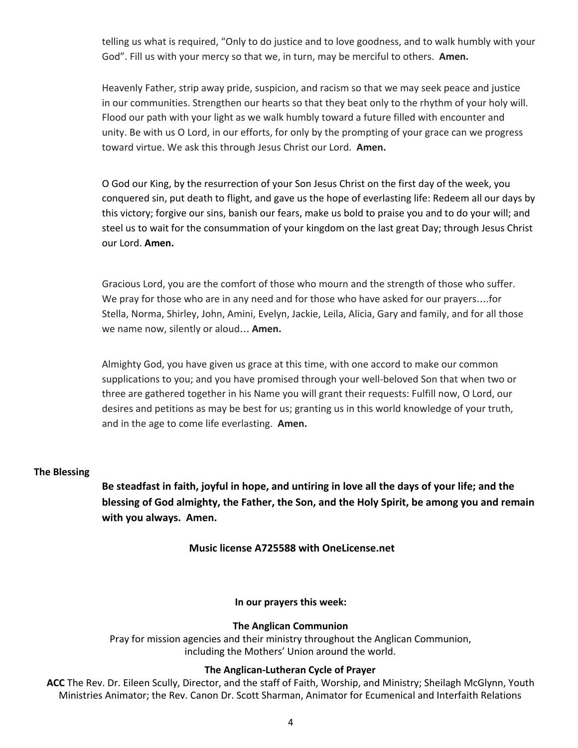telling us what is required, "Only to do justice and to love goodness, and to walk humbly with your God". Fill us with your mercy so that we, in turn, may be merciful to others. **Amen.**

Heavenly Father, strip away pride, suspicion, and racism so that we may seek peace and justice in our communities. Strengthen our hearts so that they beat only to the rhythm of your holy will. Flood our path with your light as we walk humbly toward a future filled with encounter and unity. Be with us O Lord, in our efforts, for only by the prompting of your grace can we progress toward virtue. We ask this through Jesus Christ our Lord. **Amen.**

O God our King, by the resurrection of your Son Jesus Christ on the first day of the week, you conquered sin, put death to flight, and gave us the hope of everlasting life: Redeem all our days by this victory; forgive our sins, banish our fears, make us bold to praise you and to do your will; and steel us to wait for the consummation of your kingdom on the last great Day; through Jesus Christ our Lord. **Amen.**

Gracious Lord, you are the comfort of those who mourn and the strength of those who suffer. We pray for those who are in any need and for those who have asked for our prayers….for Stella, Norma, Shirley, John, Amini, Evelyn, Jackie, Leila, Alicia, Gary and family, and for all those we name now, silently or aloud… **Amen.**

Almighty God, you have given us grace at this time, with one accord to make our common supplications to you; and you have promised through your well-beloved Son that when two or three are gathered together in his Name you will grant their requests: Fulfill now, O Lord, our desires and petitions as may be best for us; granting us in this world knowledge of your truth, and in the age to come life everlasting. **Amen.**

#### **The Blessing**

**Be steadfast in faith, joyful in hope, and untiring in love all the days of your life; and the blessing of God almighty, the Father, the Son, and the Holy Spirit, be among you and remain with you always. Amen.**

**Music license A725588 with OneLicense.net**

**In our prayers this week:**

### **The Anglican Communion**

Pray for mission agencies and their ministry throughout the Anglican Communion, including the Mothers' Union around the world.

#### **The Anglican-Lutheran Cycle of Prayer**

**ACC** The Rev. Dr. Eileen Scully, Director, and the staff of Faith, Worship, and Ministry; Sheilagh McGlynn, Youth Ministries Animator; the Rev. Canon Dr. Scott Sharman, Animator for Ecumenical and Interfaith Relations